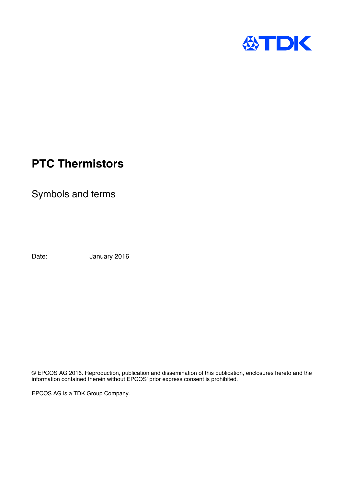

## **PTC Thermistors**

Symbols and terms

Date: January 2016

© EPCOS AG 2016. Reproduction, publication and dissemination of this publication, enclosures hereto and the information contained therein without EPCOS' prior express consent is prohibited.

EPCOS AG is a TDK Group Company.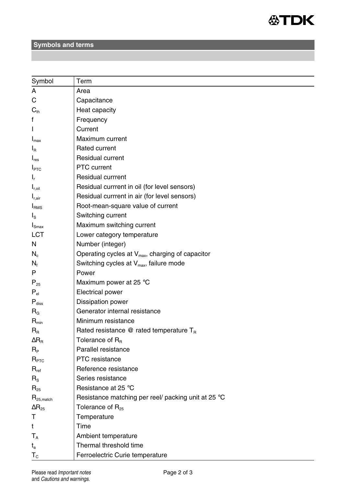

**Symbols and terms**

| Symbol                                        | Term                                                         |
|-----------------------------------------------|--------------------------------------------------------------|
| А                                             | Area                                                         |
| С                                             | Capacitance                                                  |
| $C_{\text{th}}$                               | Heat capacity                                                |
| f                                             | Frequency                                                    |
| I                                             | Current                                                      |
| $I_{\text{max}}$                              | Maximum current                                              |
| $\mathsf{I}_\mathsf{R}$                       | Rated current                                                |
| $I_{res}$                                     | Residual current                                             |
| $I_{\mathsf{PTC}}$                            | <b>PTC</b> current                                           |
| $\mathsf{I}_\mathsf{r}$                       | <b>Residual currrent</b>                                     |
| $\boldsymbol{\mathsf{I}}_{\mathrm{r, oil}}$   | Residual currrent in oil (for level sensors)                 |
| $\boldsymbol{\mathsf{I}}_{\text{r,air}}$      | Residual currrent in air (for level sensors)                 |
| I <sub>RMS</sub>                              | Root-mean-square value of current                            |
| $\mathsf{I}_\mathsf{S}$                       | Switching current                                            |
| $I_{\text{Smax}}$                             | Maximum switching current                                    |
| LCT                                           | Lower category temperature                                   |
| N                                             | Number (integer)                                             |
| $N_c$                                         | Operating cycles at V <sub>max</sub> , charging of capacitor |
| $N_{\rm f}$                                   | Switching cycles at $V_{\text{max}}$ , failure mode          |
| Р                                             | Power                                                        |
| $P_{25}$                                      | Maximum power at 25 °C                                       |
| $P_{el}$                                      | Electrical power                                             |
| $\mathsf{P}_{\mathsf{diss}}$                  | Dissipation power                                            |
| $R_{\scriptscriptstyle\rm G}$                 | Generator internal resistance                                |
| $\mathsf{R}_{\mathsf{min}}$                   | Minimum resistance                                           |
| $\mathsf{R}_{\scriptscriptstyle{\mathsf{R}}}$ | Rated resistance $@$ rated temperature $T_R$                 |
| $\Delta$ R $_{\rm B}$                         | Tolerance of $R_{B}$                                         |
| $R_{\scriptscriptstyle\rm P}$                 | Parallel resistance                                          |
| $R_{\text{PTC}}$                              | PTC resistance                                               |
| $\mathsf{R}_{\mathsf{ref}}$                   | Reference resistance                                         |
| $R_{\scriptscriptstyle\rm S}$                 | Series resistance                                            |
| $R_{25}$                                      | Resistance at 25 °C                                          |
| $\mathsf{R}_{\mathsf{25},\mathsf{match}}$     | Resistance matching per reel/ packing unit at 25 °C          |
| $\Delta$ R <sub>25</sub>                      | Tolerance of $R_{25}$                                        |
| т                                             | Temperature                                                  |
| t                                             | Time                                                         |
| $\mathsf{T}_\mathsf{A}$                       | Ambient temperature                                          |
| $\mathsf{t}_\mathsf{a}$                       | Thermal threshold time                                       |
| $\mathsf{T}_{\texttt{C}}$                     | Ferroelectric Curie temperature                              |